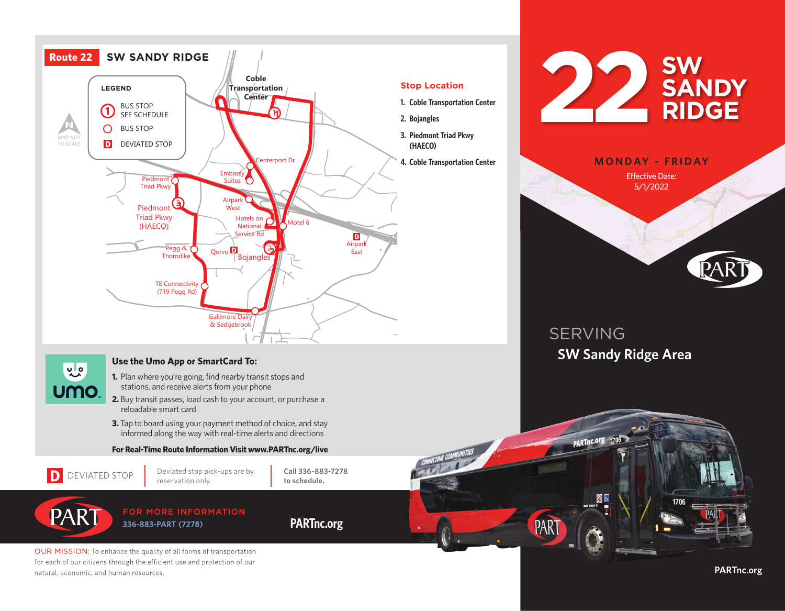